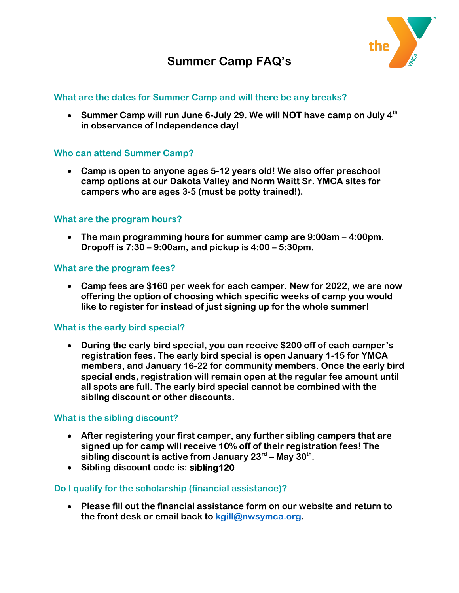

# **Summer Camp FAQ's**

## **What are the dates for Summer Camp and will there be any breaks?**

 **Summer Camp will run June 6-July 29. We will NOT have camp on July 4th in observance of Independence day!**

## **Who can attend Summer Camp?**

 **Camp is open to anyone ages 5-12 years old! We also offer preschool camp options at our Dakota Valley and Norm Waitt Sr. YMCA sites for campers who are ages 3-5 (must be potty trained!).**

## **What are the program hours?**

 **The main programming hours for summer camp are 9:00am – 4:00pm. Dropoff is 7:30 – 9:00am, and pickup is 4:00 – 5:30pm.**

## **What are the program fees?**

 **Camp fees are \$160 per week for each camper. New for 2022, we are now offering the option of choosing which specific weeks of camp you would like to register for instead of just signing up for the whole summer!**

## **What is the early bird special?**

 **During the early bird special, you can receive \$200 off of each camper's registration fees. The early bird special is open January 1-15 for YMCA members, and January 16-22 for community members. Once the early bird special ends, registration will remain open at the regular fee amount until all spots are full. The early bird special cannot be combined with the sibling discount or other discounts.** 

## **What is the sibling discount?**

- **After registering your first camper, any further sibling campers that are signed up for camp will receive 10% off of their registration fees! The sibling discount is active from January 23rd – May 30th .**
- **Sibling discount code is: sibling120**

## **Do I qualify for the scholarship (financial assistance)?**

 **Please fill out the financial assistance form on our website and return to the front desk or email back to [kgill@nwsymca.org.](mailto:kgill@nwsymca.org)**